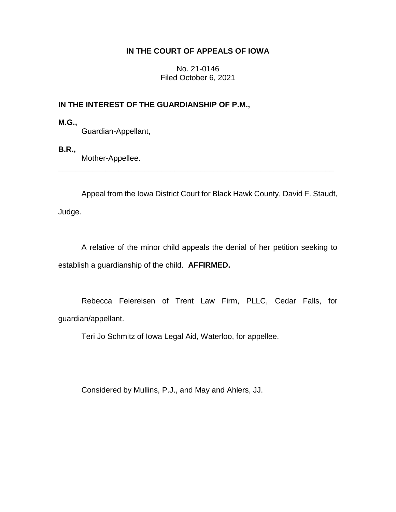# **IN THE COURT OF APPEALS OF IOWA**

No. 21-0146 Filed October 6, 2021

# **IN THE INTEREST OF THE GUARDIANSHIP OF P.M.,**

**M.G.,**

Guardian-Appellant,

**B.R.,**

Mother-Appellee.

Appeal from the Iowa District Court for Black Hawk County, David F. Staudt, Judge.

\_\_\_\_\_\_\_\_\_\_\_\_\_\_\_\_\_\_\_\_\_\_\_\_\_\_\_\_\_\_\_\_\_\_\_\_\_\_\_\_\_\_\_\_\_\_\_\_\_\_\_\_\_\_\_\_\_\_\_\_\_\_\_\_

A relative of the minor child appeals the denial of her petition seeking to establish a guardianship of the child. **AFFIRMED.**

Rebecca Feiereisen of Trent Law Firm, PLLC, Cedar Falls, for guardian/appellant.

Teri Jo Schmitz of Iowa Legal Aid, Waterloo, for appellee.

Considered by Mullins, P.J., and May and Ahlers, JJ.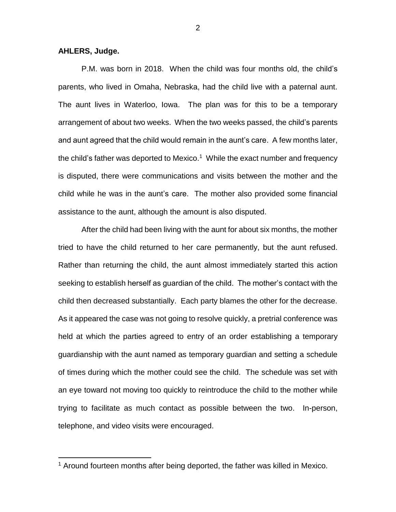## **AHLERS, Judge.**

 $\overline{a}$ 

P.M. was born in 2018. When the child was four months old, the child's parents, who lived in Omaha, Nebraska, had the child live with a paternal aunt. The aunt lives in Waterloo, Iowa. The plan was for this to be a temporary arrangement of about two weeks. When the two weeks passed, the child's parents and aunt agreed that the child would remain in the aunt's care. A few months later, the child's father was deported to Mexico.<sup>1</sup> While the exact number and frequency is disputed, there were communications and visits between the mother and the child while he was in the aunt's care. The mother also provided some financial assistance to the aunt, although the amount is also disputed.

After the child had been living with the aunt for about six months, the mother tried to have the child returned to her care permanently, but the aunt refused. Rather than returning the child, the aunt almost immediately started this action seeking to establish herself as guardian of the child. The mother's contact with the child then decreased substantially. Each party blames the other for the decrease. As it appeared the case was not going to resolve quickly, a pretrial conference was held at which the parties agreed to entry of an order establishing a temporary guardianship with the aunt named as temporary guardian and setting a schedule of times during which the mother could see the child. The schedule was set with an eye toward not moving too quickly to reintroduce the child to the mother while trying to facilitate as much contact as possible between the two. In-person, telephone, and video visits were encouraged.

<sup>&</sup>lt;sup>1</sup> Around fourteen months after being deported, the father was killed in Mexico.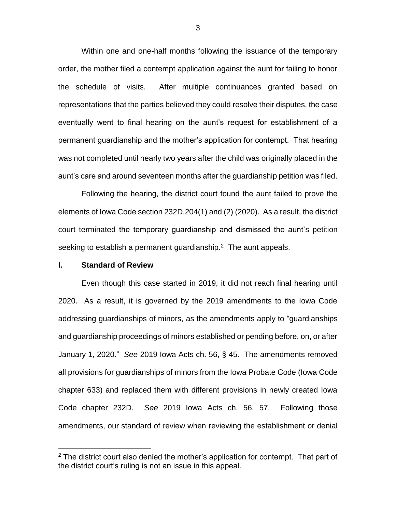Within one and one-half months following the issuance of the temporary order, the mother filed a contempt application against the aunt for failing to honor the schedule of visits. After multiple continuances granted based on representations that the parties believed they could resolve their disputes, the case eventually went to final hearing on the aunt's request for establishment of a permanent guardianship and the mother's application for contempt. That hearing was not completed until nearly two years after the child was originally placed in the aunt's care and around seventeen months after the guardianship petition was filed.

Following the hearing, the district court found the aunt failed to prove the elements of Iowa Code section 232D.204(1) and (2) (2020). As a result, the district court terminated the temporary guardianship and dismissed the aunt's petition seeking to establish a permanent guardianship. $2$  The aunt appeals.

### **I. Standard of Review**

 $\overline{a}$ 

Even though this case started in 2019, it did not reach final hearing until 2020. As a result, it is governed by the 2019 amendments to the Iowa Code addressing guardianships of minors, as the amendments apply to "guardianships and guardianship proceedings of minors established or pending before, on, or after January 1, 2020." *See* 2019 Iowa Acts ch. 56, § 45. The amendments removed all provisions for guardianships of minors from the Iowa Probate Code (Iowa Code chapter 633) and replaced them with different provisions in newly created Iowa Code chapter 232D. *See* 2019 Iowa Acts ch. 56, 57. Following those amendments, our standard of review when reviewing the establishment or denial

 $2$  The district court also denied the mother's application for contempt. That part of the district court's ruling is not an issue in this appeal.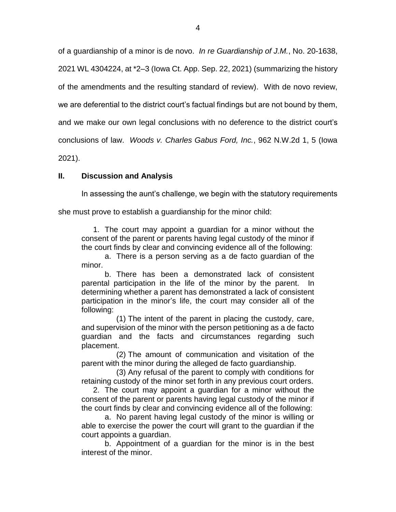of a guardianship of a minor is de novo. *In re Guardianship of J.M.*, No. 20-1638, 2021 WL 4304224, at \*2–3 (Iowa Ct. App. Sep. 22, 2021) (summarizing the history of the amendments and the resulting standard of review). With de novo review, we are deferential to the district court's factual findings but are not bound by them, and we make our own legal conclusions with no deference to the district court's conclusions of law. *Woods v. Charles Gabus Ford, Inc.*, 962 N.W.2d 1, 5 (Iowa 2021).

# **II. Discussion and Analysis**

In assessing the aunt's challenge, we begin with the statutory requirements

she must prove to establish a guardianship for the minor child:

1. The court may appoint a guardian for a minor without the consent of the parent or parents having legal custody of the minor if the court finds by clear and convincing evidence all of the following:

a. There is a person serving as a de facto guardian of the minor.

b. There has been a demonstrated lack of consistent parental participation in the life of the minor by the parent. In determining whether a parent has demonstrated a lack of consistent participation in the minor's life, the court may consider all of the following:

(1) The intent of the parent in placing the custody, care, and supervision of the minor with the person petitioning as a de facto guardian and the facts and circumstances regarding such placement.

(2) The amount of communication and visitation of the parent with the minor during the alleged de facto guardianship.

(3) Any refusal of the parent to comply with conditions for retaining custody of the minor set forth in any previous court orders.

2. The court may appoint a guardian for a minor without the consent of the parent or parents having legal custody of the minor if the court finds by clear and convincing evidence all of the following:

a. No parent having legal custody of the minor is willing or able to exercise the power the court will grant to the guardian if the court appoints a guardian.

b. Appointment of a guardian for the minor is in the best interest of the minor.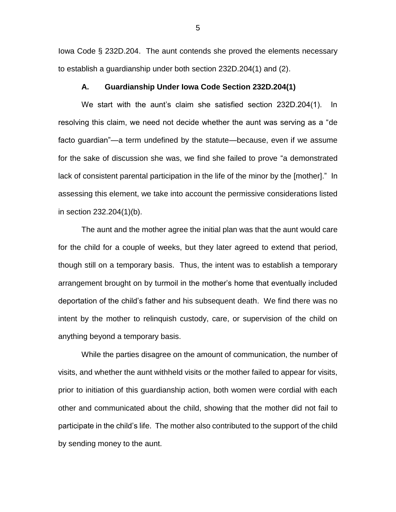Iowa Code § 232D.204. The aunt contends she proved the elements necessary to establish a guardianship under both section 232D.204(1) and (2).

## **A. Guardianship Under Iowa Code Section 232D.204(1)**

We start with the aunt's claim she satisfied section 232D.204(1). In resolving this claim, we need not decide whether the aunt was serving as a "de facto guardian"—a term undefined by the statute—because, even if we assume for the sake of discussion she was, we find she failed to prove "a demonstrated lack of consistent parental participation in the life of the minor by the [mother]." In assessing this element, we take into account the permissive considerations listed in section 232.204(1)(b).

The aunt and the mother agree the initial plan was that the aunt would care for the child for a couple of weeks, but they later agreed to extend that period, though still on a temporary basis. Thus, the intent was to establish a temporary arrangement brought on by turmoil in the mother's home that eventually included deportation of the child's father and his subsequent death. We find there was no intent by the mother to relinquish custody, care, or supervision of the child on anything beyond a temporary basis.

While the parties disagree on the amount of communication, the number of visits, and whether the aunt withheld visits or the mother failed to appear for visits, prior to initiation of this guardianship action, both women were cordial with each other and communicated about the child, showing that the mother did not fail to participate in the child's life. The mother also contributed to the support of the child by sending money to the aunt.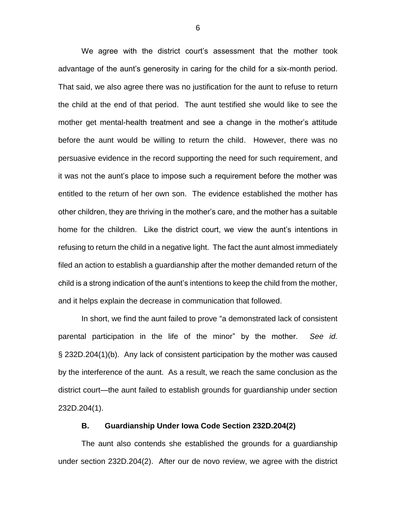We agree with the district court's assessment that the mother took advantage of the aunt's generosity in caring for the child for a six-month period. That said, we also agree there was no justification for the aunt to refuse to return the child at the end of that period. The aunt testified she would like to see the mother get mental-health treatment and see a change in the mother's attitude before the aunt would be willing to return the child. However, there was no persuasive evidence in the record supporting the need for such requirement, and it was not the aunt's place to impose such a requirement before the mother was entitled to the return of her own son. The evidence established the mother has other children, they are thriving in the mother's care, and the mother has a suitable home for the children. Like the district court, we view the aunt's intentions in refusing to return the child in a negative light. The fact the aunt almost immediately filed an action to establish a guardianship after the mother demanded return of the child is a strong indication of the aunt's intentions to keep the child from the mother, and it helps explain the decrease in communication that followed.

In short, we find the aunt failed to prove "a demonstrated lack of consistent parental participation in the life of the minor" by the mother. *See id.*  § 232D.204(1)(b). Any lack of consistent participation by the mother was caused by the interference of the aunt. As a result, we reach the same conclusion as the district court—the aunt failed to establish grounds for guardianship under section 232D.204(1).

### **B. Guardianship Under Iowa Code Section 232D.204(2)**

The aunt also contends she established the grounds for a guardianship under section 232D.204(2). After our de novo review, we agree with the district